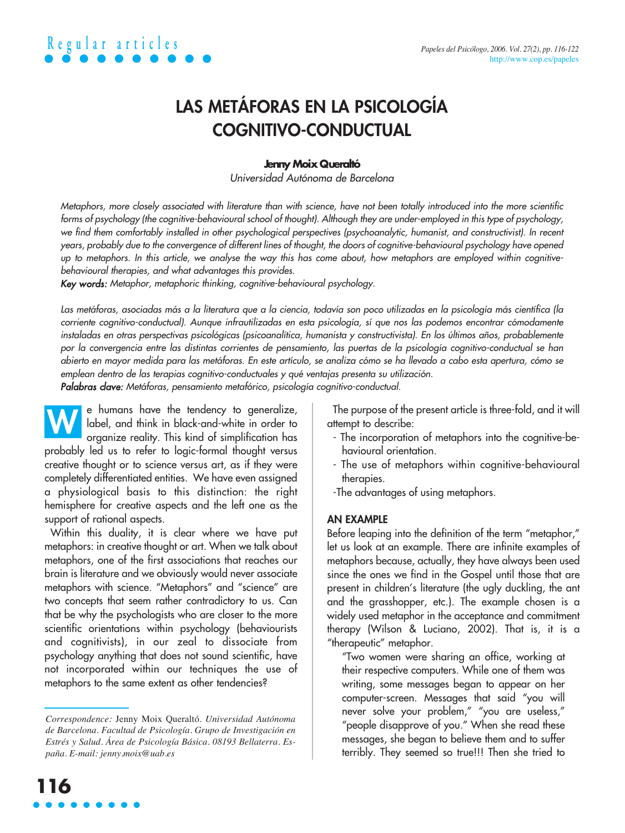### **LAS METÁFORAS EN LA PSICOLOGÍA COGNITIVO-CONDUCTUAL**

### **Jenny Moix Queraltó**

Universidad Autónoma de Barcelona

Metaphors, more closely associated with literature than with science, have not been totally introduced into the more scientific forms of psychology (the cognitive-behavioural school of thought). Although they are under-employed in this type of psychology, we find them comfortably installed in other psychological perspectives (psychoanalytic, humanist, and constructivist). In recent years, probably due to the convergence of different lines of thought, the doors of cognitive-behavioural psychology have opened up to metaphors. In this article, we analyse the way this has come about, how metaphors are employed within cognitivebehavioural therapies, and what advantages this provides.

Key words: Metaphor, metaphoric thinking, cognitive-behavioural psychology.

Las metáforas, asociadas más a la literatura que a la ciencia, todavía son poco utilizadas en la psicología más científica (la corriente cognitivo-conductual). Aunque infrautilizadas en esta psicología, sí que nos las podemos encontrar cómodamente instaladas en otras perspectivas psicológicas (psicoanalítica, humanista y constructivista). En los últimos años, probablemente por la convergencia entre las distintas corrientes de pensamiento, las puertas de la psicología cognitivo-conductual se han abierto en mayor medida para las metáforas. En este artículo, se analiza cómo se ha llevado a cabo esta apertura, cómo se emplean dentro de las terapias cognitivo-conductuales y qué ventajas presenta su utilización.

Palabras clave: Metáforas, pensamiento metafórico, psicología cognitivo-conductual.

e humans have the tendency to generalize, label, and think in black-and-white in order to organize reality. This kind of simplification has probably led us to refer to logic-formal thought versus **W**

creative thought or to science versus art, as if they were completely differentiated entities. We have even assigned a physiological basis to this distinction: the right hemisphere for creative aspects and the left one as the support of rational aspects.

Within this duality, it is clear where we have put metaphors: in creative thought or art. When we talk about metaphors, one of the first associations that reaches our brain is literature and we obviously would never associate metaphors with science. "Metaphors" and "science" are two concepts that seem rather contradictory to us. Can that be why the psychologists who are closer to the more scientific orientations within psychology (behaviourists and cognitivists), in our zeal to dissociate from psychology anything that does not sound scientific, have not incorporated within our techniques the use of metaphors to the same extent as other tendencies?

The purpose of the present article is three-fold, and it will attempt to describe:

- The incorporation of metaphors into the cognitive-behavioural orientation.
- The use of metaphors within cognitive-behavioural therapies.
- -The advantages of using metaphors.

### **AN EXAMPLE**

Before leaping into the definition of the term "metaphor," let us look at an example. There are infinite examples of metaphors because, actually, they have always been used since the ones we find in the Gospel until those that are present in children's literature (the ugly duckling, the ant and the grasshopper, etc.). The example chosen is a widely used metaphor in the acceptance and commitment therapy (Wilson & Luciano, 2002). That is, it is a "therapeutic" metaphor.

"Two women were sharing an office, working at their respective computers. While one of them was writing, some messages began to appear on her computer-screen. Messages that said "you will never solve your problem," "you are useless," "people disapprove of you." When she read these messages, she began to believe them and to suffer terribly. They seemed so true!!! Then she tried to

*Correspondence:* Jenny Moix Queraltó. *Universidad Autónoma de Barcelona. Facultad de Psicología. Grupo de Investigación en Estrés y Salud. Área de Psicología Básica. 08193 Bellaterra. España. E-mail: jenny.moix@uab.es*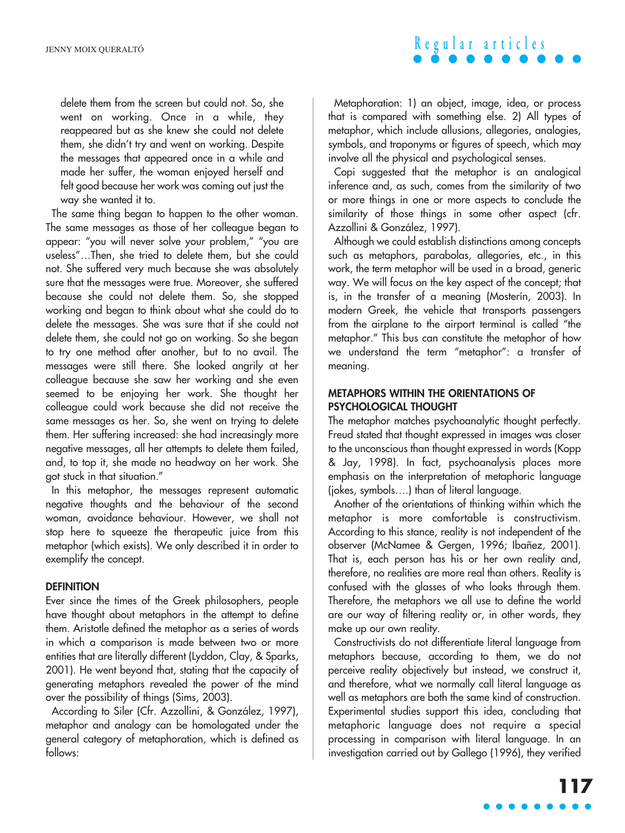### delete them from the screen but could not. So, she went on working. Once in a while, they reappeared but as she knew she could not delete them, she didn't try and went on working. Despite the messages that appeared once in a while and made her suffer, the woman enjoyed herself and felt good because her work was coming out just the way she wanted it to.

The same thing began to happen to the other woman. The same messages as those of her colleague began to appear: "you will never solve your problem," "you are useless"…Then, she tried to delete them, but she could not. She suffered very much because she was absolutely sure that the messages were true. Moreover, she suffered because she could not delete them. So, she stopped working and began to think about what she could do to delete the messages. She was sure that if she could not delete them, she could not go on working. So she began to try one method after another, but to no avail. The messages were still there. She looked angrily at her colleague because she saw her working and she even seemed to be enjoying her work. She thought her colleague could work because she did not receive the same messages as her. So, she went on trying to delete them. Her suffering increased: she had increasingly more negative messages, all her attempts to delete them failed, and, to top it, she made no headway on her work. She got stuck in that situation."

In this metaphor, the messages represent automatic negative thoughts and the behaviour of the second woman, avoidance behaviour. However, we shall not stop here to squeeze the therapeutic juice from this metaphor (which exists). We only described it in order to exemplify the concept.

### **DEFINITION**

Ever since the times of the Greek philosophers, people have thought about metaphors in the attempt to define them. Aristotle defined the metaphor as a series of words in which a comparison is made between two or more entities that are literally different (Lyddon, Clay, & Sparks, 2001). He went beyond that, stating that the capacity of generating metaphors revealed the power of the mind over the possibility of things (Sims, 2003).

According to Siler (Cfr. Azzollini, & González, 1997), metaphor and analogy can be homologated under the general category of metaphoration, which is defined as follows:

Metaphoration: 1) an object, image, idea, or process that is compared with something else. 2) All types of metaphor, which include allusions, allegories, analogies, symbols, and troponyms or figures of speech, which may involve all the physical and psychological senses.

**Regular articles**

Copi suggested that the metaphor is an analogical inference and, as such, comes from the similarity of two or more things in one or more aspects to conclude the similarity of those things in some other aspect (cfr. Azzollini & González, 1997).

Although we could establish distinctions among concepts such as metaphors, parabolas, allegories, etc., in this work, the term metaphor will be used in a broad, generic way. We will focus on the key aspect of the concept; that is, in the transfer of a meaning (Mosterín, 2003). In modern Greek, the vehicle that transports passengers from the airplane to the airport terminal is called "the metaphor." This bus can constitute the metaphor of how we understand the term "metaphor": a transfer of meaning.

### **METAPHORS WITHIN THE ORIENTATIONS OF PSYCHOLOGICAL THOUGHT**

The metaphor matches psychoanalytic thought perfectly. Freud stated that thought expressed in images was closer to the unconscious than thought expressed in words (Kopp & Jay, 1998). In fact, psychoanalysis places more emphasis on the interpretation of metaphoric language (jokes, symbols….) than of literal language.

Another of the orientations of thinking within which the metaphor is more comfortable is constructivism. According to this stance, reality is not independent of the observer (McNamee & Gergen, 1996; Ibañez, 2001). That is, each person has his or her own reality and, therefore, no realities are more real than others. Reality is confused with the glasses of who looks through them. Therefore, the metaphors we all use to define the world are our way of filtering reality or, in other words, they make up our own reality.

Constructivists do not differentiate literal language from metaphors because, according to them, we do not perceive reality objectively but instead, we construct it, and therefore, what we normally call literal language as well as metaphors are both the same kind of construction. Experimental studies support this idea, concluding that metaphoric language does not require a special processing in comparison with literal language. In an investigation carried out by Gallego (1996), they verified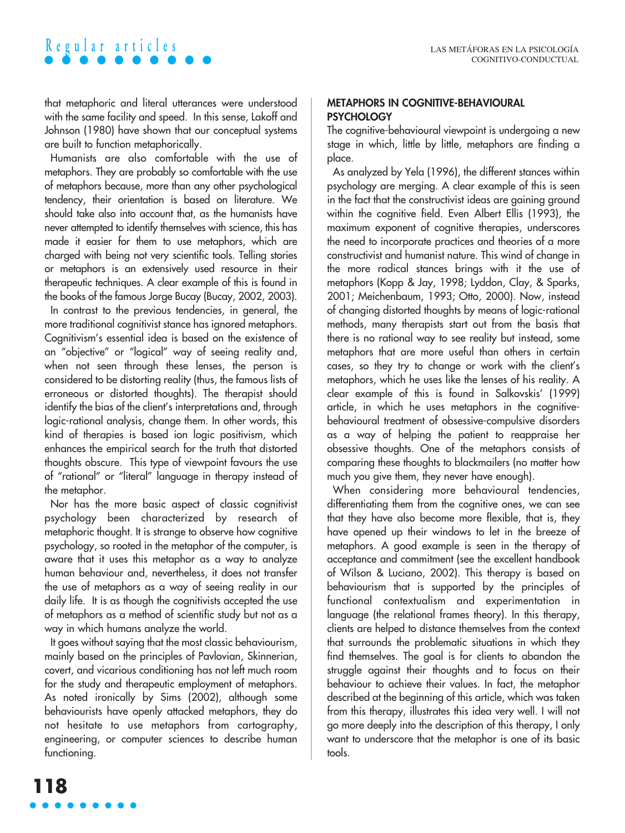that metaphoric and literal utterances were understood with the same facility and speed. In this sense, Lakoff and Johnson (1980) have shown that our conceptual systems are built to function metaphorically.

Humanists are also comfortable with the use of metaphors. They are probably so comfortable with the use of metaphors because, more than any other psychological tendency, their orientation is based on literature. We should take also into account that, as the humanists have never attempted to identify themselves with science, this has made it easier for them to use metaphors, which are charged with being not very scientific tools. Telling stories or metaphors is an extensively used resource in their therapeutic techniques. A clear example of this is found in the books of the famous Jorge Bucay (Bucay, 2002, 2003).

In contrast to the previous tendencies, in general, the more traditional cognitivist stance has ignored metaphors. Cognitivism's essential idea is based on the existence of an "objective" or "logical" way of seeing reality and, when not seen through these lenses, the person is considered to be distorting reality (thus, the famous lists of erroneous or distorted thoughts). The therapist should identify the bias of the client's interpretations and, through logic-rational analysis, change them. In other words, this kind of therapies is based ion logic positivism, which enhances the empirical search for the truth that distorted thoughts obscure. This type of viewpoint favours the use of "rational" or "literal" language in therapy instead of the metaphor.

Nor has the more basic aspect of classic cognitivist psychology been characterized by research of metaphoric thought. It is strange to observe how cognitive psychology, so rooted in the metaphor of the computer, is aware that it uses this metaphor as a way to analyze human behaviour and, nevertheless, it does not transfer the use of metaphors as a way of seeing reality in our daily life. It is as though the cognitivists accepted the use of metaphors as a method of scientific study but not as a way in which humans analyze the world.

It goes without saying that the most classic behaviourism, mainly based on the principles of Pavlovian, Skinnerian, covert, and vicarious conditioning has not left much room for the study and therapeutic employment of metaphors. As noted ironically by Sims (2002), although some behaviourists have openly attacked metaphors, they do not hesitate to use metaphors from cartography, engineering, or computer sciences to describe human functioning.

### **METAPHORS IN COGNITIVE-BEHAVIOURAL PSYCHOLOGY**

The cognitive-behavioural viewpoint is undergoing a new stage in which, little by little, metaphors are finding a place.

As analyzed by Yela (1996), the different stances within psychology are merging. A clear example of this is seen in the fact that the constructivist ideas are gaining ground within the cognitive field. Even Albert Ellis (1993), the maximum exponent of cognitive therapies, underscores the need to incorporate practices and theories of a more constructivist and humanist nature. This wind of change in the more radical stances brings with it the use of metaphors (Kopp & Jay, 1998; Lyddon, Clay, & Sparks, 2001; Meichenbaum, 1993; Otto, 2000). Now, instead of changing distorted thoughts by means of logic-rational methods, many therapists start out from the basis that there is no rational way to see reality but instead, some metaphors that are more useful than others in certain cases, so they try to change or work with the client's metaphors, which he uses like the lenses of his reality. A clear example of this is found in Salkovskis' (1999) article, in which he uses metaphors in the cognitivebehavioural treatment of obsessive-compulsive disorders as a way of helping the patient to reappraise her obsessive thoughts. One of the metaphors consists of comparing these thoughts to blackmailers (no matter how much you give them, they never have enough).

When considering more behavioural tendencies, differentiating them from the cognitive ones, we can see that they have also become more flexible, that is, they have opened up their windows to let in the breeze of metaphors. A good example is seen in the therapy of acceptance and commitment (see the excellent handbook of Wilson & Luciano, 2002). This therapy is based on behaviourism that is supported by the principles of functional contextualism and experimentation in language (the relational frames theory). In this therapy, clients are helped to distance themselves from the context that surrounds the problematic situations in which they find themselves. The goal is for clients to abandon the struggle against their thoughts and to focus on their behaviour to achieve their values. In fact, the metaphor described at the beginning of this article, which was taken from this therapy, illustrates this idea very well. I will not go more deeply into the description of this therapy, I only want to underscore that the metaphor is one of its basic tools.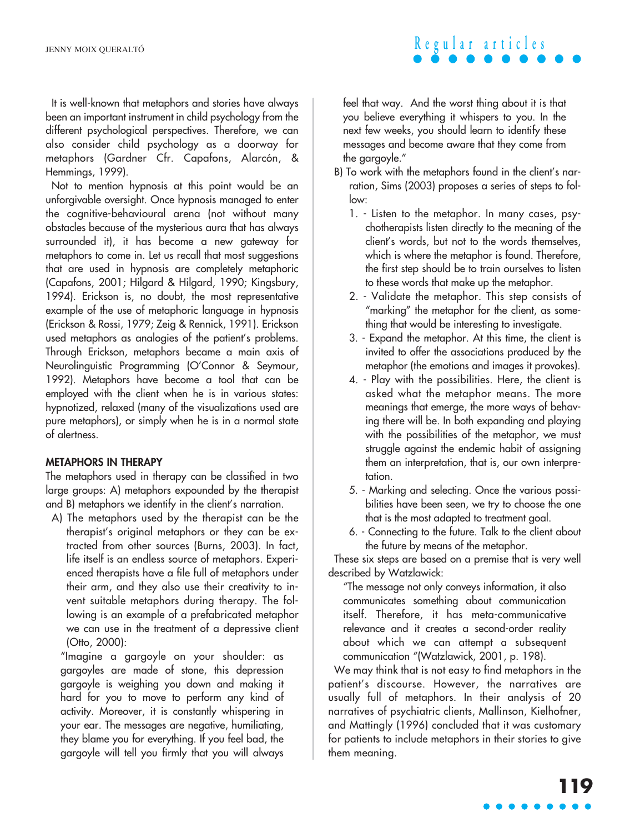It is well-known that metaphors and stories have always been an important instrument in child psychology from the different psychological perspectives. Therefore, we can also consider child psychology as a doorway for metaphors (Gardner Cfr. Capafons, Alarcón, & Hemmings, 1999).

Not to mention hypnosis at this point would be an unforgivable oversight. Once hypnosis managed to enter the cognitive-behavioural arena (not without many obstacles because of the mysterious aura that has always surrounded it), it has become a new gateway for metaphors to come in. Let us recall that most suggestions that are used in hypnosis are completely metaphoric (Capafons, 2001; Hilgard & Hilgard, 1990; Kingsbury, 1994). Erickson is, no doubt, the most representative example of the use of metaphoric language in hypnosis (Erickson & Rossi, 1979; Zeig & Rennick, 1991). Erickson used metaphors as analogies of the patient's problems. Through Erickson, metaphors became a main axis of Neurolinguistic Programming (O'Connor & Seymour, 1992). Metaphors have become a tool that can be employed with the client when he is in various states: hypnotized, relaxed (many of the visualizations used are pure metaphors), or simply when he is in a normal state of alertness.

### **METAPHORS IN THERAPY**

The metaphors used in therapy can be classified in two large groups: A) metaphors expounded by the therapist and B) metaphors we identify in the client's narration.

A) The metaphors used by the therapist can be the therapist's original metaphors or they can be extracted from other sources (Burns, 2003). In fact, life itself is an endless source of metaphors. Experienced therapists have a file full of metaphors under their arm, and they also use their creativity to invent suitable metaphors during therapy. The following is an example of a prefabricated metaphor we can use in the treatment of a depressive client (Otto, 2000):

"Imagine a gargoyle on your shoulder: as gargoyles are made of stone, this depression gargoyle is weighing you down and making it hard for you to move to perform any kind of activity. Moreover, it is constantly whispering in your ear. The messages are negative, humiliating, they blame you for everything. If you feel bad, the gargoyle will tell you firmly that you will always

feel that way. And the worst thing about it is that you believe everything it whispers to you. In the next few weeks, you should learn to identify these messages and become aware that they come from the gargoyle."

- B) To work with the metaphors found in the client's narration, Sims (2003) proposes a series of steps to follow:
	- 1. Listen to the metaphor. In many cases, psychotherapists listen directly to the meaning of the client's words, but not to the words themselves, which is where the metaphor is found. Therefore, the first step should be to train ourselves to listen to these words that make up the metaphor.
	- 2. Validate the metaphor. This step consists of "marking" the metaphor for the client, as something that would be interesting to investigate.
	- 3. Expand the metaphor. At this time, the client is invited to offer the associations produced by the metaphor (the emotions and images it provokes).
	- 4. Play with the possibilities. Here, the client is asked what the metaphor means. The more meanings that emerge, the more ways of behaving there will be. In both expanding and playing with the possibilities of the metaphor, we must struggle against the endemic habit of assigning them an interpretation, that is, our own interpretation.
	- 5. Marking and selecting. Once the various possibilities have been seen, we try to choose the one that is the most adapted to treatment goal.
	- 6. Connecting to the future. Talk to the client about the future by means of the metaphor.

These six steps are based on a premise that is very well described by Watzlawick:

"The message not only conveys information, it also communicates something about communication itself. Therefore, it has meta-communicative relevance and it creates a second-order reality about which we can attempt a subsequent communication "(Watzlawick, 2001, p. 198).

We may think that is not easy to find metaphors in the patient's discourse. However, the narratives are usually full of metaphors. In their analysis of 20 narratives of psychiatric clients, Mallinson, Kielhofner, and Mattingly (1996) concluded that it was customary for patients to include metaphors in their stories to give them meaning.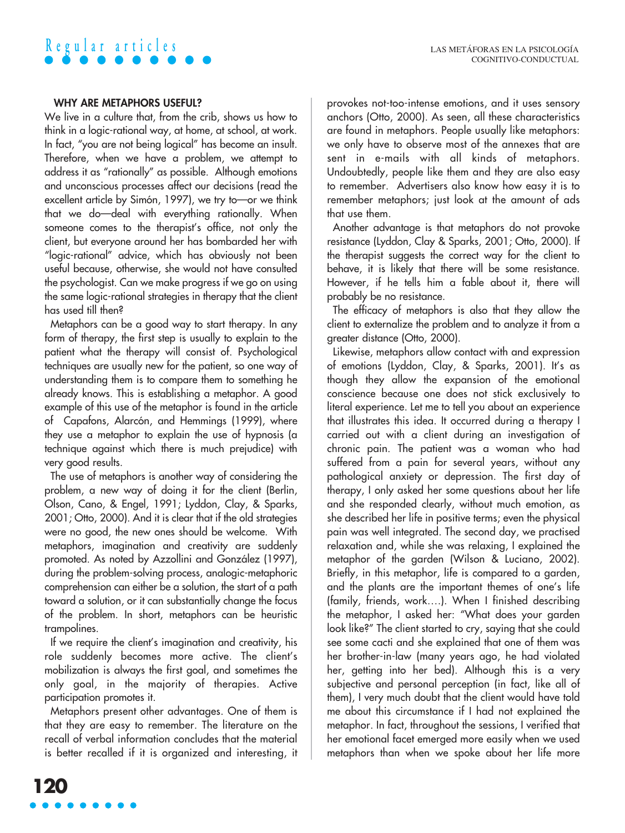### **WHY ARE METAPHORS USEFUL?**

We live in a culture that, from the crib, shows us how to think in a logic-rational way, at home, at school, at work. In fact, "you are not being logical" has become an insult. Therefore, when we have a problem, we attempt to address it as "rationally" as possible. Although emotions and unconscious processes affect our decisions (read the excellent article by Simón, 1997), we try to—or we think that we do—deal with everything rationally. When someone comes to the therapist's office, not only the client, but everyone around her has bombarded her with "logic-rational" advice, which has obviously not been useful because, otherwise, she would not have consulted the psychologist. Can we make progress if we go on using the same logic-rational strategies in therapy that the client has used till then?

Metaphors can be a good way to start therapy. In any form of therapy, the first step is usually to explain to the patient what the therapy will consist of. Psychological techniques are usually new for the patient, so one way of understanding them is to compare them to something he already knows. This is establishing a metaphor. A good example of this use of the metaphor is found in the article of Capafons, Alarcón, and Hemmings (1999), where they use a metaphor to explain the use of hypnosis (a technique against which there is much prejudice) with very good results.

The use of metaphors is another way of considering the problem, a new way of doing it for the client (Berlin, Olson, Cano, & Engel, 1991; Lyddon, Clay, & Sparks, 2001; Otto, 2000). And it is clear that if the old strategies were no good, the new ones should be welcome. With metaphors, imagination and creativity are suddenly promoted. As noted by Azzollini and González (1997), during the problem-solving process, analogic-metaphoric comprehension can either be a solution, the start of a path toward a solution, or it can substantially change the focus of the problem. In short, metaphors can be heuristic trampolines.

If we require the client's imagination and creativity, his role suddenly becomes more active. The client's mobilization is always the first goal, and sometimes the only goal, in the majority of therapies. Active participation promotes it.

Metaphors present other advantages. One of them is that they are easy to remember. The literature on the recall of verbal information concludes that the material is better recalled if it is organized and interesting, it provokes not-too-intense emotions, and it uses sensory anchors (Otto, 2000). As seen, all these characteristics are found in metaphors. People usually like metaphors: we only have to observe most of the annexes that are sent in e-mails with all kinds of metaphors. Undoubtedly, people like them and they are also easy to remember. Advertisers also know how easy it is to remember metaphors; just look at the amount of ads that use them.

Another advantage is that metaphors do not provoke resistance (Lyddon, Clay & Sparks, 2001; Otto, 2000). If the therapist suggests the correct way for the client to behave, it is likely that there will be some resistance. However, if he tells him a fable about it, there will probably be no resistance.

The efficacy of metaphors is also that they allow the client to externalize the problem and to analyze it from a greater distance (Otto, 2000).

Likewise, metaphors allow contact with and expression of emotions (Lyddon, Clay, & Sparks, 2001). It's as though they allow the expansion of the emotional conscience because one does not stick exclusively to literal experience. Let me to tell you about an experience that illustrates this idea. It occurred during a therapy I carried out with a client during an investigation of chronic pain. The patient was a woman who had suffered from a pain for several years, without any pathological anxiety or depression. The first day of therapy, I only asked her some questions about her life and she responded clearly, without much emotion, as she described her life in positive terms; even the physical pain was well integrated. The second day, we practised relaxation and, while she was relaxing, I explained the metaphor of the garden (Wilson & Luciano, 2002). Briefly, in this metaphor, life is compared to a garden, and the plants are the important themes of one's life (family, friends, work….). When I finished describing the metaphor, I asked her: "What does your garden look like?" The client started to cry, saying that she could see some cacti and she explained that one of them was her brother-in-law (many years ago, he had violated her, getting into her bed). Although this is a very subjective and personal perception (in fact, like all of them), I very much doubt that the client would have told me about this circumstance if I had not explained the metaphor. In fact, throughout the sessions, I verified that her emotional facet emerged more easily when we used metaphors than when we spoke about her life more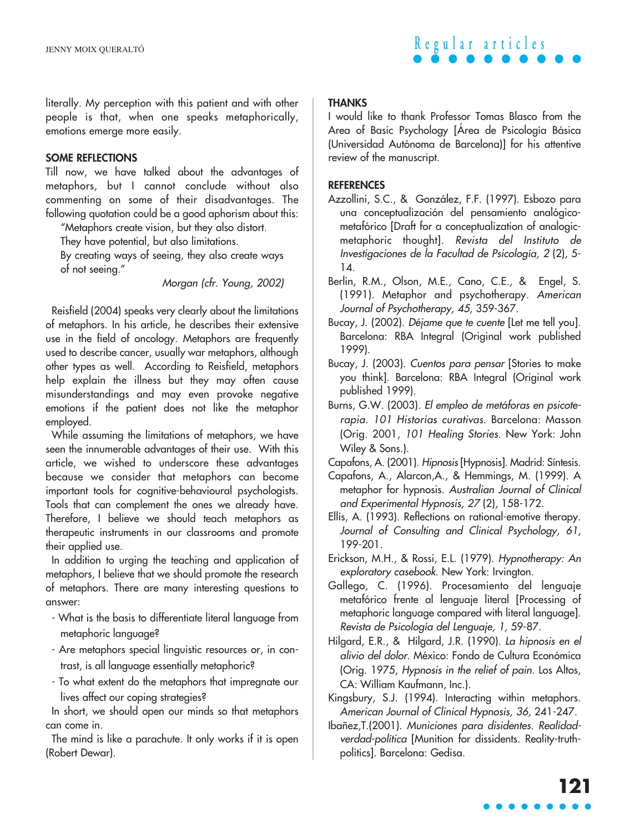

literally. My perception with this patient and with other people is that, when one speaks metaphorically, emotions emerge more easily.

### **SOME REFLECTIONS**

Till now, we have talked about the advantages of metaphors, but I cannot conclude without also commenting on some of their disadvantages. The following quotation could be a good aphorism about this:

"Metaphors create vision, but they also distort.

They have potential, but also limitations.

By creating ways of seeing, they also create ways of not seeing."

Morgan (cfr. Young, 2002)

Reisfield (2004) speaks very clearly about the limitations of metaphors. In his article, he describes their extensive use in the field of oncology. Metaphors are frequently used to describe cancer, usually war metaphors, although other types as well. According to Reisfield, metaphors help explain the illness but they may often cause misunderstandings and may even provoke negative emotions if the patient does not like the metaphor employed.

While assuming the limitations of metaphors, we have seen the innumerable advantages of their use. With this article, we wished to underscore these advantages because we consider that metaphors can become important tools for cognitive-behavioural psychologists. Tools that can complement the ones we already have. Therefore, I believe we should teach metaphors as therapeutic instruments in our classrooms and promote their applied use.

In addition to urging the teaching and application of metaphors, I believe that we should promote the research of metaphors. There are many interesting questions to answer:

- What is the basis to differentiate literal language from metaphoric language?
- Are metaphors special linguistic resources or, in contrast, is all language essentially metaphoric?
- To what extent do the metaphors that impregnate our lives affect our coping strategies?

In short, we should open our minds so that metaphors can come in.

The mind is like a parachute. It only works if it is open (Robert Dewar).

### **THANKS**

I would like to thank Professor Tomas Blasco from the Area of Basic Psychology [Área de Psicología Básica (Universidad Autónoma de Barcelona)] for his attentive review of the manuscript.

### **REFERENCES**

- Azzollini, S.C., & González, F.F. (1997). Esbozo para una conceptualización del pensamiento analógicometafórico [Draft for a conceptualization of analogicmetaphoric thought]. Revista del Instituto de Investigaciones de la Facultad de Psicología, 2 (2), 5- 14.
- Berlin, R.M., Olson, M.E., Cano, C.E., & Engel, S. (1991). Metaphor and psychotherapy. American Journal of Psychotherapy, 45, 359-367.
- Bucay, J. (2002). Déjame que te cuente [Let me tell you]. Barcelona: RBA Integral (Original work published 1999).
- Bucay, J. (2003). Cuentos para pensar [Stories to make you think]. Barcelona: RBA Integral (Original work published 1999).
- Burns, G.W. (2003). El empleo de metáforas en psicoterapia. 101 Historias curativas. Barcelona: Masson (Orig. 2001, 101 Healing Stories. New York: John Wiley & Sons.).
- Capafons, A. (2001). Hipnosis [Hypnosis]. Madrid: Síntesis.
- Capafons, A., Alarcon,A., & Hemmings, M. (1999). A metaphor for hypnosis. Australian Journal of Clinical and Experimental Hypnosis, 27 (2), 158-172.
- Ellis, A. (1993). Reflections on rational-emotive therapy. Journal of Consulting and Clinical Psychology, 61, 199-201.
- Erickson, M.H., & Rossi, E.L. (1979). Hypnotherapy: An exploratory casebook. New York: Irvington.
- Gallego, C. (1996). Procesamiento del lenguaje metafórico frente al lenguaje literal [Processing of metaphoric language compared with literal language]. Revista de Psicología del Lenguaje, 1, 59-87.
- Hilgard, E.R., & Hilgard, J.R. (1990). La hipnosis en el alivio del dolor. México: Fondo de Cultura Económica (Orig. 1975, Hypnosis in the relief of pain. Los Altos, CA: William Kaufmann, Inc.).
- Kingsbury, S.J. (1994). Interacting within metaphors. American Journal of Clinical Hypnosis, 36, 241-247.
- Ibañez,T.(2001). Municiones para disidentes. Realidadverdad-política [Munition for dissidents. Reality-truthpolitics]. Barcelona: Gedisa.